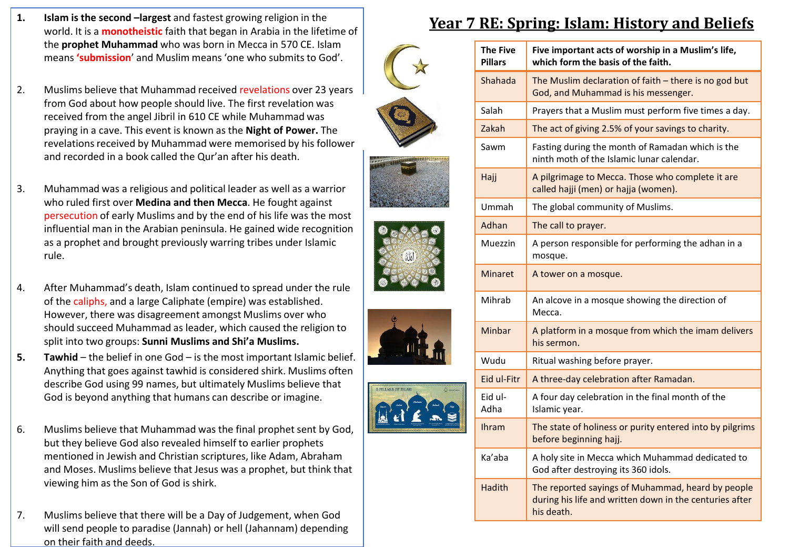- **1. Islam is the second –largest** and fastest growing religion in the world. It is a **monotheistic** faith that began in Arabia in the lifetime of the **prophet Muhammad** who was born in Mecca in 570 CE. Islam means **'submission**' and Muslim means 'one who submits to God'.
- 2. Muslims believe that Muhammad received revelations over 23 years from God about how people should live. The first revelation was received from the angel Jibril in 610 CE while Muhammad was praying in a cave. This event is known as the **Night of Power.** The revelations received by Muhammad were memorised by his follower and recorded in a book called the Qur'an after his death.
- 3. Muhammad was a religious and political leader as well as a warrior who ruled first over **Medina and then Mecca**. He fought against persecution of early Muslims and by the end of his life was the most influential man in the Arabian peninsula. He gained wide recognition as a prophet and brought previously warring tribes under Islamic rule.
- 4. After Muhammad's death, Islam continued to spread under the rule of the caliphs, and a large Caliphate (empire) was established. However, there was disagreement amongst Muslims over who should succeed Muhammad as leader, which caused the religion to split into two groups: **Sunni Muslims and Shi'a Muslims.**
- **5. Tawhid** the belief in one God is the most important Islamic belief. Anything that goes against tawhid is considered shirk. Muslims often describe God using 99 names, but ultimately Muslims believe that God is beyond anything that humans can describe or imagine.
- 6. Muslims believe that Muhammad was the final prophet sent by God, but they believe God also revealed himself to earlier prophets mentioned in Jewish and Christian scriptures, like Adam, Abraham and Moses. Muslims believe that Jesus was a prophet, but think that viewing him as the Son of God is shirk.
- 7. Muslims believe that there will be a Day of Judgement, when God will send people to paradise (Jannah) or hell (Jahannam) depending on their faith and deeds.

## **Year 7 RE: Spring: Islam: History and Beliefs**

|  | <b>The Five</b><br><b>Pillars</b> | Five important acts of worship in a Muslim's life,<br>which form the basis of the faith.                                   |
|--|-----------------------------------|----------------------------------------------------------------------------------------------------------------------------|
|  | Shahada                           | The Muslim declaration of faith - there is no god but<br>God, and Muhammad is his messenger.                               |
|  | Salah                             | Prayers that a Muslim must perform five times a day.                                                                       |
|  | Zakah                             | The act of giving 2.5% of your savings to charity.                                                                         |
|  | Sawm                              | Fasting during the month of Ramadan which is the<br>ninth moth of the Islamic lunar calendar.                              |
|  | Hajj                              | A pilgrimage to Mecca. Those who complete it are<br>called hajji (men) or hajja (women).                                   |
|  | Ummah                             | The global community of Muslims.                                                                                           |
|  | Adhan                             | The call to prayer.                                                                                                        |
|  | Muezzin                           | A person responsible for performing the adhan in a<br>mosque.                                                              |
|  | <b>Minaret</b>                    | A tower on a mosque.                                                                                                       |
|  | Mihrab                            | An alcove in a mosque showing the direction of<br>Mecca.                                                                   |
|  | Minbar                            | A platform in a mosque from which the imam delivers<br>his sermon.                                                         |
|  | Wudu                              | Ritual washing before prayer.                                                                                              |
|  | Eid ul-Fitr                       | A three-day celebration after Ramadan.                                                                                     |
|  | Eid ul-<br>Adha                   | A four day celebration in the final month of the<br>Islamic year.                                                          |
|  | <b>Ihram</b>                      | The state of holiness or purity entered into by pilgrims<br>before beginning hajj.                                         |
|  | Ka'aba                            | A holy site in Mecca which Muhammad dedicated to<br>God after destroying its 360 idols.                                    |
|  | Hadith                            | The reported sayings of Muhammad, heard by people<br>during his life and written down in the centuries after<br>his death. |